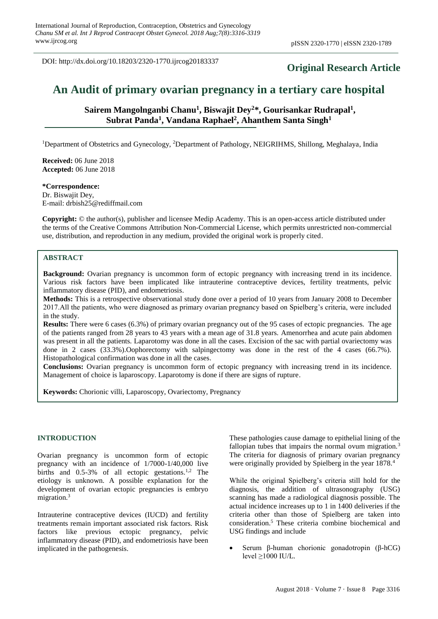DOI: http://dx.doi.org/10.18203/2320-1770.ijrcog20183337

# **Original Research Article**

# **An Audit of primary ovarian pregnancy in a tertiary care hospital**

Sairem Mangolnganbi Chanu<sup>1</sup>, Biswajit Dey<sup>2</sup>\*, Gourisankar Rudrapal<sup>1</sup>, **Subrat Panda<sup>1</sup> , Vandana Raphael<sup>2</sup> , Ahanthem Santa Singh<sup>1</sup>**

<sup>1</sup>Department of Obstetrics and Gynecology, <sup>2</sup>Department of Pathology, NEIGRIHMS, Shillong, Meghalaya, India

**Received:** 06 June 2018 **Accepted:** 06 June 2018

**\*Correspondence:** Dr. Biswajit Dey, E-mail: drbish25@rediffmail.com

**Copyright:** © the author(s), publisher and licensee Medip Academy. This is an open-access article distributed under the terms of the Creative Commons Attribution Non-Commercial License, which permits unrestricted non-commercial use, distribution, and reproduction in any medium, provided the original work is properly cited.

## **ABSTRACT**

**Background:** Ovarian pregnancy is uncommon form of ectopic pregnancy with increasing trend in its incidence. Various risk factors have been implicated like intrauterine contraceptive devices, fertility treatments, pelvic inflammatory disease (PID), and endometriosis.

**Methods:** This is a retrospective observational study done over a period of 10 years from January 2008 to December 2017.All the patients, who were diagnosed as primary ovarian pregnancy based on Spielberg's criteria, were included in the study.

**Results:** There were 6 cases (6.3%) of primary ovarian pregnancy out of the 95 cases of ectopic pregnancies. The age of the patients ranged from 28 years to 43 years with a mean age of 31.8 years. Amenorrhea and acute pain abdomen was present in all the patients. Laparotomy was done in all the cases. Excision of the sac with partial ovariectomy was done in 2 cases (33.3%).Oophorectomy with salpingectomy was done in the rest of the 4 cases (66.7%). Histopathological confirmation was done in all the cases.

**Conclusions:** Ovarian pregnancy is uncommon form of ectopic pregnancy with increasing trend in its incidence. Management of choice is laparoscopy. Laparotomy is done if there are signs of rupture.

**Keywords:** Chorionic villi, Laparoscopy, Ovariectomy, Pregnancy

#### **INTRODUCTION**

Ovarian pregnancy is uncommon form of ectopic pregnancy with an incidence of 1/7000-1/40,000 live births and  $0.5-3\%$  of all ectopic gestations.<sup>1,2</sup> The etiology is unknown. A possible explanation for the development of ovarian ectopic pregnancies is embryo migration.<sup>3</sup>

Intrauterine contraceptive devices (IUCD) and fertility treatments remain important associated risk factors. Risk factors like previous ectopic pregnancy, pelvic inflammatory disease (PID), and endometriosis have been implicated in the pathogenesis.

These pathologies cause damage to epithelial lining of the fallopian tubes that impairs the normal ovum migration.<sup>3</sup> The criteria for diagnosis of primary ovarian pregnancy were originally provided by Spielberg in the year 1878.<sup>4</sup>

While the original Spielberg's criteria still hold for the diagnosis, the addition of ultrasonography (USG) scanning has made a radiological diagnosis possible. The actual incidence increases up to 1 in 1400 deliveries if the criteria other than those of Spielberg are taken into consideration.<sup>5</sup> These criteria combine biochemical and USG findings and include

• Serum β-human chorionic gonadotropin (β-hCG) level ≥1000 IU/L.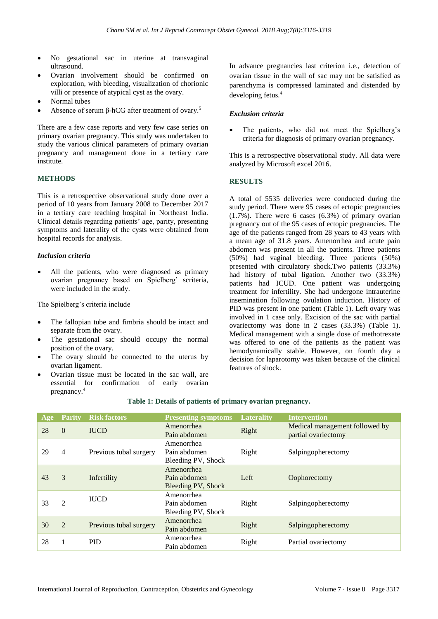- No gestational sac in uterine at transvaginal ultrasound.
- Ovarian involvement should be confirmed on exploration, with bleeding, visualization of chorionic villi or presence of atypical cyst as the ovary.
- Normal tubes
- Absence of serum β-hCG after treatment of ovary.<sup>5</sup>

There are a few case reports and very few case series on primary ovarian pregnancy. This study was undertaken to study the various clinical parameters of primary ovarian pregnancy and management done in a tertiary care institute.

#### **METHODS**

This is a retrospective observational study done over a period of 10 years from January 2008 to December 2017 in a tertiary care teaching hospital in Northeast India. Clinical details regarding patients' age, parity, presenting symptoms and laterality of the cysts were obtained from hospital records for analysis.

#### *Inclusion criteria*

All the patients, who were diagnosed as primary ovarian pregnancy based on Spielberg' scriteria, were included in the study.

The Spielberg's criteria include

- The fallopian tube and fimbria should be intact and separate from the ovary.
- The gestational sac should occupy the normal position of the ovary.
- The ovary should be connected to the uterus by ovarian ligament.
- Ovarian tissue must be located in the sac wall, are essential for confirmation of early ovarian pregnancy.<sup>4</sup>

In advance pregnancies last criterion i.e., detection of ovarian tissue in the wall of sac may not be satisfied as parenchyma is compressed laminated and distended by developing fetus.<sup>4</sup>

#### *Exclusion criteria*

The patients, who did not meet the Spielberg's criteria for diagnosis of primary ovarian pregnancy.

This is a retrospective observational study. All data were analyzed by Microsoft excel 2016.

#### **RESULTS**

A total of 5535 deliveries were conducted during the study period. There were 95 cases of ectopic pregnancies (1.7%). There were 6 cases (6.3%) of primary ovarian pregnancy out of the 95 cases of ectopic pregnancies. The age of the patients ranged from 28 years to 43 years with a mean age of 31.8 years. Amenorrhea and acute pain abdomen was present in all the patients. Three patients (50%) had vaginal bleeding. Three patients (50%) presented with circulatory shock.Two patients (33.3%) had history of tubal ligation. Another two (33.3%) patients had ICUD. One patient was undergoing treatment for infertility. She had undergone intrauterine insemination following ovulation induction. History of PID was present in one patient (Table 1). Left ovary was involved in 1 case only. Excision of the sac with partial ovariectomy was done in 2 cases (33.3%) (Table 1). Medical management with a single dose of methotrexate was offered to one of the patients as the patient was hemodynamically stable. However, on fourth day a decision for laparotomy was taken because of the clinical features of shock.

| Age | <b>Parity</b>  | <b>Risk factors</b>    | <b>Presenting symptoms</b>                       | <b>Laterality</b> | <b>Intervention</b>                                   |
|-----|----------------|------------------------|--------------------------------------------------|-------------------|-------------------------------------------------------|
| 28  | $\Omega$       | <b>IUCD</b>            | Amenorrhea<br>Pain abdomen                       | Right             | Medical management followed by<br>partial ovariectomy |
| 29  | 4              | Previous tubal surgery | Amenorrhea<br>Pain abdomen<br>Bleeding PV, Shock | Right             | Salpingopherectomy                                    |
| 43  | 3              | Infertility            | Amenorrhea<br>Pain abdomen<br>Bleeding PV, Shock | Left              | Oophorectomy                                          |
| 33  | 2              | <b>IUCD</b>            | Amenorrhea<br>Pain abdomen<br>Bleeding PV, Shock | Right             | Salpingopherectomy                                    |
| 30  | $\mathfrak{D}$ | Previous tubal surgery | Amenorrhea<br>Pain abdomen                       | Right             | Salpingopherectomy                                    |
| 28  |                | <b>PID</b>             | Amenorrhea<br>Pain abdomen                       | Right             | Partial ovariectomy                                   |

### **Table 1: Details of patients of primary ovarian pregnancy.**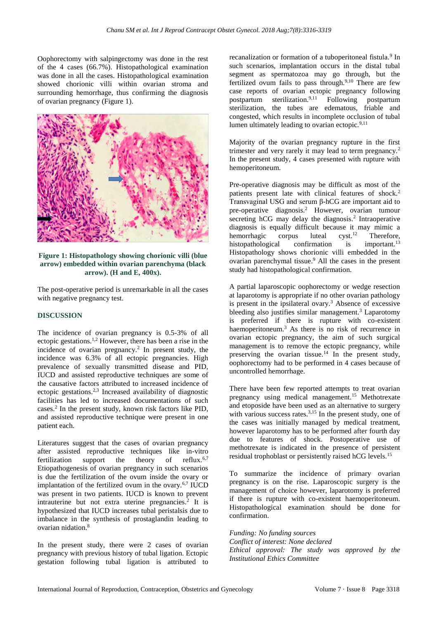Oophorectomy with salpingectomy was done in the rest of the 4 cases (66.7%). Histopathological examination was done in all the cases. Histopathological examination showed chorionic villi within ovarian stroma and surrounding hemorrhage, thus confirming the diagnosis of ovarian pregnancy (Figure 1).



**Figure 1: Histopathology showing chorionic villi (blue arrow) embedded within ovarian parenchyma (black arrow). (H and E, 400x).**

The post-operative period is unremarkable in all the cases with negative pregnancy test.

#### **DISCUSSION**

The incidence of ovarian pregnancy is 0.5-3% of all ectopic gestations.1,2 However, there has been a rise in the incidence of ovarian pregnancy.<sup>2</sup> In present study, the incidence was 6.3% of all ectopic pregnancies. High prevalence of sexually transmitted disease and PID, IUCD and assisted reproductive techniques are some of the causative factors attributed to increased incidence of ectopic gestations.<sup>2,3</sup> Increased availability of diagnostic facilities has led to increased documentations of such cases.<sup>2</sup> In the present study, known risk factors like PID, and assisted reproductive technique were present in one patient each.

Literatures suggest that the cases of ovarian pregnancy after assisted reproductive techniques like in-vitro fertilization support the theory of reflux. $6,7$ Etiopathogenesis of ovarian pregnancy in such scenarios is due the fertilization of the ovum inside the ovary or implantation of the fertilized ovum in the ovary. $67$  IUCD was present in two patients. IUCD is known to prevent intrauterine but not extra uterine pregnancies.<sup>2</sup> It is hypothesized that IUCD increases tubal peristalsis due to imbalance in the synthesis of prostaglandin leading to ovarian nidation.<sup>8</sup>

In the present study, there were 2 cases of ovarian pregnancy with previous history of tubal ligation. Ectopic gestation following tubal ligation is attributed to

recanalization or formation of a tuboperitoneal fistula.<sup>9</sup> In such scenarios, implantation occurs in the distal tubal segment as spermatozoa may go through, but the fertilized ovum fails to pass through. $9,10$  There are few case reports of ovarian ectopic pregnancy following postpartum sterilization.9,11 Following postpartum sterilization, the tubes are edematous, friable and congested, which results in incomplete occlusion of tubal lumen ultimately leading to ovarian ectopic. $9,11$ 

Majority of the ovarian pregnancy rupture in the first trimester and very rarely it may lead to term pregnancy.<sup>2</sup> In the present study, 4 cases presented with rupture with hemoperitoneum.

Pre-operative diagnosis may be difficult as most of the patients present late with clinical features of shock.<sup>2</sup> Transvaginal USG and serum β-hCG are important aid to pre-operative diagnosis.<sup>2</sup> However, ovarian tumour secreting hCG may delay the diagnosis.<sup>2</sup> Intraoperative diagnosis is equally difficult because it may mimic a hemorrhagic corpus luteal cyst.<sup>12</sup> Therefore,<br>histopathological confirmation is important.<sup>13</sup> histopathological confirmation is Histopathology shows chorionic villi embedded in the ovarian parenchymal tissue.<sup>9</sup> All the cases in the present study had histopathological confirmation.

A partial laparoscopic oophorectomy or wedge resection at laparotomy is appropriate if no other ovarian pathology is present in the ipsilateral ovary.<sup>3</sup> Absence of excessive bleeding also justifies similar management.<sup>3</sup> Laparotomy is preferred if there is rupture with co-existent haemoperitoneum.<sup>3</sup> As there is no risk of recurrence in ovarian ectopic pregnancy, the aim of such surgical management is to remove the ectopic pregnancy, while preserving the ovarian tissue.<sup>14</sup> In the present study, oophorectomy had to be performed in 4 cases because of uncontrolled hemorrhage.

There have been few reported attempts to treat ovarian pregnancy using medical management.<sup>15</sup> Methotrexate and etoposide have been used as an alternative to surgery with various success rates. $3,15$  In the present study, one of the cases was initially managed by medical treatment, however laparotomy has to be performed after fourth day due to features of shock. Postoperative use of methotrexate is indicated in the presence of persistent residual trophoblast or persistently raised hCG levels.<sup>15</sup>

To summarize the incidence of primary ovarian pregnancy is on the rise. Laparoscopic surgery is the management of choice however, laparotomy is preferred if there is rupture with co-existent haemoperitoneum. Histopathological examination should be done for confirmation.

*Funding: No funding sources Conflict of interest: None declared Ethical approval: The study was approved by the Institutional Ethics Committee*